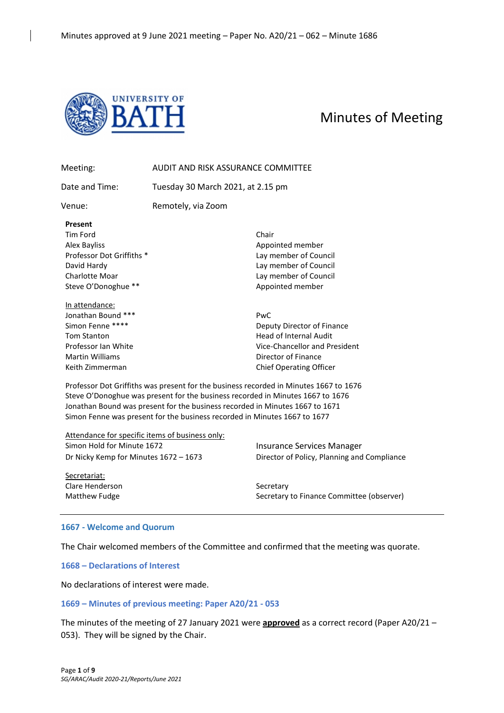

# Minutes of Meeting

| Meeting:                                                                                                                                           | AUDIT AND RISK ASSURANCE COMMITTEE                                        |                                                                                                                                                                                                                                                         |
|----------------------------------------------------------------------------------------------------------------------------------------------------|---------------------------------------------------------------------------|---------------------------------------------------------------------------------------------------------------------------------------------------------------------------------------------------------------------------------------------------------|
| Date and Time:                                                                                                                                     | Tuesday 30 March 2021, at 2.15 pm                                         |                                                                                                                                                                                                                                                         |
| Venue:                                                                                                                                             | Remotely, via Zoom                                                        |                                                                                                                                                                                                                                                         |
| Present<br>Tim Ford<br><b>Alex Bayliss</b><br>Professor Dot Griffiths *<br>David Hardy<br>Charlotte Moar<br>Steve O'Donoghue **                    |                                                                           | Chair<br>Appointed member<br>Lay member of Council<br>Lay member of Council<br>Lay member of Council<br>Appointed member                                                                                                                                |
| In attendance:<br>Jonathan Bound ***<br>Simon Fenne ****<br><b>Tom Stanton</b><br>Professor Ian White<br><b>Martin Williams</b><br>Keith Zimmerman |                                                                           | PwC<br>Deputy Director of Finance<br><b>Head of Internal Audit</b><br>Vice-Chancellor and President<br>Director of Finance<br><b>Chief Operating Officer</b>                                                                                            |
|                                                                                                                                                    | Simon Fenne was present for the business recorded in Minutes 1667 to 1677 | Professor Dot Griffiths was present for the business recorded in Minutes 1667 to 1676<br>Steve O'Donoghue was present for the business recorded in Minutes 1667 to 1676<br>Jonathan Bound was present for the business recorded in Minutes 1667 to 1671 |

Attendance for specific items of business only: Simon Hold for Minute 1672 **Insurance Services Manager** 

Dr Nicky Kemp for Minutes 1672 – 1673 Director of Policy, Planning and Compliance

Secretariat: Clare Henderson Secretary

Matthew Fudge Secretary to Finance Committee (observer)

#### **1667 - Welcome and Quorum**

The Chair welcomed members of the Committee and confirmed that the meeting was quorate.

**1668 – Declarations of Interest**

No declarations of interest were made.

#### **1669 – Minutes of previous meeting: Paper A20/21 - 053**

The minutes of the meeting of 27 January 2021 were **approved** as a correct record (Paper A20/21 – 053). They will be signed by the Chair.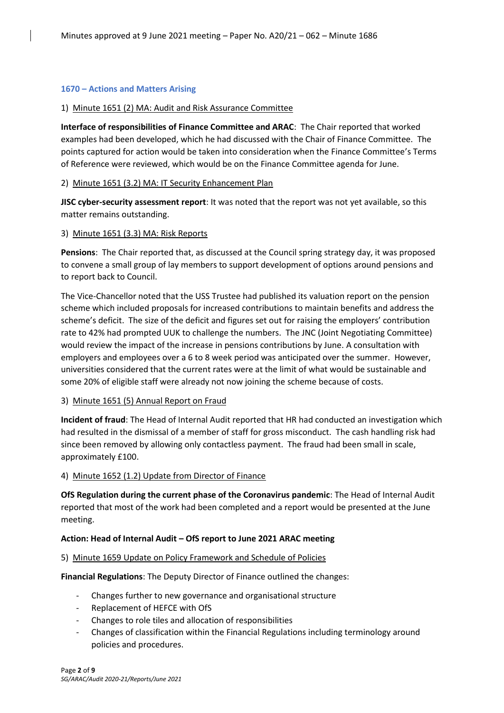### **1670 – Actions and Matters Arising**

#### 1) Minute 1651 (2) MA: Audit and Risk Assurance Committee

**Interface of responsibilities of Finance Committee and ARAC**: The Chair reported that worked examples had been developed, which he had discussed with the Chair of Finance Committee. The points captured for action would be taken into consideration when the Finance Committee's Terms of Reference were reviewed, which would be on the Finance Committee agenda for June.

# 2) Minute 1651 (3.2) MA: IT Security Enhancement Plan

**JISC cyber-security assessment report**: It was noted that the report was not yet available, so this matter remains outstanding.

#### 3) Minute 1651 (3.3) MA: Risk Reports

**Pensions**: The Chair reported that, as discussed at the Council spring strategy day, it was proposed to convene a small group of lay members to support development of options around pensions and to report back to Council.

The Vice-Chancellor noted that the USS Trustee had published its valuation report on the pension scheme which included proposals for increased contributions to maintain benefits and address the scheme's deficit. The size of the deficit and figures set out for raising the employers' contribution rate to 42% had prompted UUK to challenge the numbers. The JNC (Joint Negotiating Committee) would review the impact of the increase in pensions contributions by June. A consultation with employers and employees over a 6 to 8 week period was anticipated over the summer. However, universities considered that the current rates were at the limit of what would be sustainable and some 20% of eligible staff were already not now joining the scheme because of costs.

# 3) Minute 1651 (5) Annual Report on Fraud

**Incident of fraud**: The Head of Internal Audit reported that HR had conducted an investigation which had resulted in the dismissal of a member of staff for gross misconduct. The cash handling risk had since been removed by allowing only contactless payment. The fraud had been small in scale, approximately £100.

# 4) Minute 1652 (1.2) Update from Director of Finance

**OfS Regulation during the current phase of the Coronavirus pandemic**: The Head of Internal Audit reported that most of the work had been completed and a report would be presented at the June meeting.

#### **Action: Head of Internal Audit – OfS report to June 2021 ARAC meeting**

# 5) Minute 1659 Update on Policy Framework and Schedule of Policies

**Financial Regulations**: The Deputy Director of Finance outlined the changes:

- Changes further to new governance and organisational structure
- Replacement of HEFCE with OfS
- Changes to role tiles and allocation of responsibilities
- Changes of classification within the Financial Regulations including terminology around policies and procedures.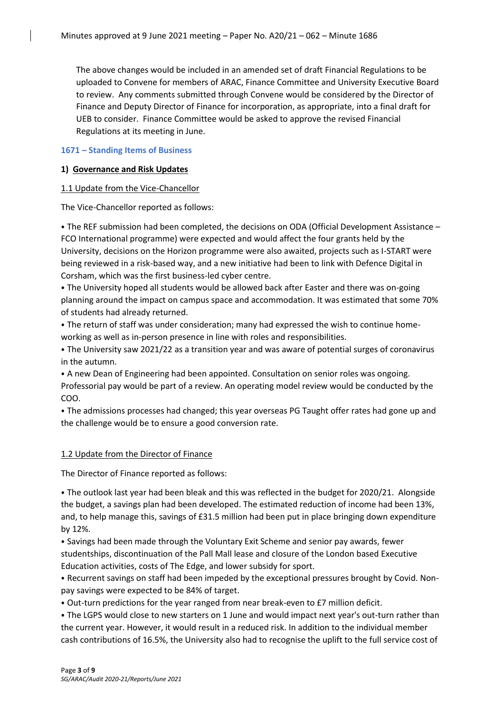The above changes would be included in an amended set of draft Financial Regulations to be uploaded to Convene for members of ARAC, Finance Committee and University Executive Board to review. Any comments submitted through Convene would be considered by the Director of Finance and Deputy Director of Finance for incorporation, as appropriate, into a final draft for UEB to consider. Finance Committee would be asked to approve the revised Financial Regulations at its meeting in June.

# **1671 – Standing Items of Business**

# **1) Governance and Risk Updates**

# 1.1 Update from the Vice-Chancellor

The Vice-Chancellor reported as follows:

• The REF submission had been completed, the decisions on ODA (Official Development Assistance – FCO International programme) were expected and would affect the four grants held by the University, decisions on the Horizon programme were also awaited, projects such as I-START were being reviewed in a risk-based way, and a new initiative had been to link with Defence Digital in Corsham, which was the first business-led cyber centre.

⦁ The University hoped all students would be allowed back after Easter and there was on-going planning around the impact on campus space and accommodation. It was estimated that some 70% of students had already returned.

⦁ The return of staff was under consideration; many had expressed the wish to continue homeworking as well as in-person presence in line with roles and responsibilities.

⦁ The University saw 2021/22 as a transition year and was aware of potential surges of coronavirus in the autumn.

⦁ A new Dean of Engineering had been appointed. Consultation on senior roles was ongoing. Professorial pay would be part of a review. An operating model review would be conducted by the COO.

⦁ The admissions processes had changed; this year overseas PG Taught offer rates had gone up and the challenge would be to ensure a good conversion rate.

# 1.2 Update from the Director of Finance

The Director of Finance reported as follows:

⦁ The outlook last year had been bleak and this was reflected in the budget for 2020/21. Alongside the budget, a savings plan had been developed. The estimated reduction of income had been 13%, and, to help manage this, savings of £31.5 million had been put in place bringing down expenditure by 12%.

⦁ Savings had been made through the Voluntary Exit Scheme and senior pay awards, fewer studentships, discontinuation of the Pall Mall lease and closure of the London based Executive Education activities, costs of The Edge, and lower subsidy for sport.

⦁ Recurrent savings on staff had been impeded by the exceptional pressures brought by Covid. Nonpay savings were expected to be 84% of target.

⦁ Out-turn predictions for the year ranged from near break-even to £7 million deficit.

⦁ The LGPS would close to new starters on 1 June and would impact next year's out-turn rather than the current year. However, it would result in a reduced risk. In addition to the individual member cash contributions of 16.5%, the University also had to recognise the uplift to the full service cost of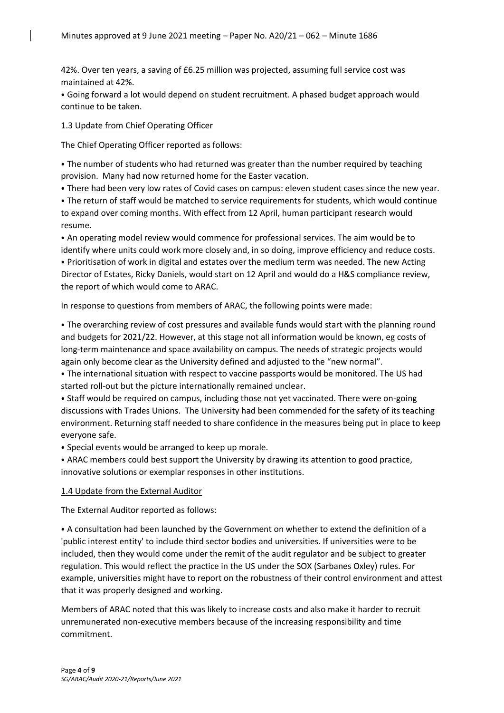42%. Over ten years, a saving of £6.25 million was projected, assuming full service cost was maintained at 42%.

⦁ Going forward a lot would depend on student recruitment. A phased budget approach would continue to be taken.

# 1.3 Update from Chief Operating Officer

The Chief Operating Officer reported as follows:

⦁ The number of students who had returned was greater than the number required by teaching provision. Many had now returned home for the Easter vacation.

⦁ There had been very low rates of Covid cases on campus: eleven student cases since the new year.

⦁ The return of staff would be matched to service requirements for students, which would continue to expand over coming months. With effect from 12 April, human participant research would resume.

⦁ An operating model review would commence for professional services. The aim would be to identify where units could work more closely and, in so doing, improve efficiency and reduce costs. ⦁ Prioritisation of work in digital and estates over the medium term was needed. The new Acting Director of Estates, Ricky Daniels, would start on 12 April and would do a H&S compliance review, the report of which would come to ARAC.

In response to questions from members of ARAC, the following points were made:

⦁ The overarching review of cost pressures and available funds would start with the planning round and budgets for 2021/22. However, at this stage not all information would be known, eg costs of long-term maintenance and space availability on campus. The needs of strategic projects would again only become clear as the University defined and adjusted to the "new normal".

⦁ The international situation with respect to vaccine passports would be monitored. The US had started roll-out but the picture internationally remained unclear.

⦁ Staff would be required on campus, including those not yet vaccinated. There were on-going discussions with Trades Unions. The University had been commended for the safety of its teaching environment. Returning staff needed to share confidence in the measures being put in place to keep everyone safe.

⦁ Special events would be arranged to keep up morale.

⦁ ARAC members could best support the University by drawing its attention to good practice, innovative solutions or exemplar responses in other institutions.

# 1.4 Update from the External Auditor

The External Auditor reported as follows:

⦁ A consultation had been launched by the Government on whether to extend the definition of a 'public interest entity' to include third sector bodies and universities. If universities were to be included, then they would come under the remit of the audit regulator and be subject to greater regulation. This would reflect the practice in the US under the SOX (Sarbanes Oxley) rules. For example, universities might have to report on the robustness of their control environment and attest that it was properly designed and working.

Members of ARAC noted that this was likely to increase costs and also make it harder to recruit unremunerated non-executive members because of the increasing responsibility and time commitment.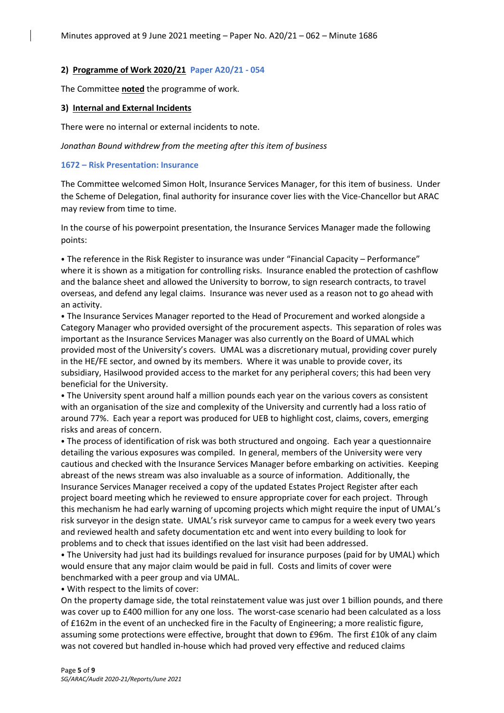#### **2) Programme of Work 2020/21 Paper A20/21 - 054**

The Committee **noted** the programme of work.

#### **3) Internal and External Incidents**

There were no internal or external incidents to note.

*Jonathan Bound withdrew from the meeting after this item of business*

#### **1672 – Risk Presentation: Insurance**

The Committee welcomed Simon Holt, Insurance Services Manager, for this item of business. Under the Scheme of Delegation, final authority for insurance cover lies with the Vice-Chancellor but ARAC may review from time to time.

In the course of his powerpoint presentation, the Insurance Services Manager made the following points:

⦁ The reference in the Risk Register to insurance was under "Financial Capacity – Performance" where it is shown as a mitigation for controlling risks. Insurance enabled the protection of cashflow and the balance sheet and allowed the University to borrow, to sign research contracts, to travel overseas, and defend any legal claims. Insurance was never used as a reason not to go ahead with an activity.

⦁ The Insurance Services Manager reported to the Head of Procurement and worked alongside a Category Manager who provided oversight of the procurement aspects. This separation of roles was important as the Insurance Services Manager was also currently on the Board of UMAL which provided most of the University's covers. UMAL was a discretionary mutual, providing cover purely in the HE/FE sector, and owned by its members. Where it was unable to provide cover, its subsidiary, Hasilwood provided access to the market for any peripheral covers; this had been very beneficial for the University.

⦁ The University spent around half a million pounds each year on the various covers as consistent with an organisation of the size and complexity of the University and currently had a loss ratio of around 77%. Each year a report was produced for UEB to highlight cost, claims, covers, emerging risks and areas of concern.

⦁ The process of identification of risk was both structured and ongoing. Each year a questionnaire detailing the various exposures was compiled. In general, members of the University were very cautious and checked with the Insurance Services Manager before embarking on activities. Keeping abreast of the news stream was also invaluable as a source of information. Additionally, the Insurance Services Manager received a copy of the updated Estates Project Register after each project board meeting which he reviewed to ensure appropriate cover for each project. Through this mechanism he had early warning of upcoming projects which might require the input of UMAL's risk surveyor in the design state. UMAL's risk surveyor came to campus for a week every two years and reviewed health and safety documentation etc and went into every building to look for problems and to check that issues identified on the last visit had been addressed.

⦁ The University had just had its buildings revalued for insurance purposes (paid for by UMAL) which would ensure that any major claim would be paid in full. Costs and limits of cover were benchmarked with a peer group and via UMAL.

⦁ With respect to the limits of cover:

On the property damage side, the total reinstatement value was just over 1 billion pounds, and there was cover up to £400 million for any one loss. The worst-case scenario had been calculated as a loss of £162m in the event of an unchecked fire in the Faculty of Engineering; a more realistic figure, assuming some protections were effective, brought that down to £96m. The first £10k of any claim was not covered but handled in-house which had proved very effective and reduced claims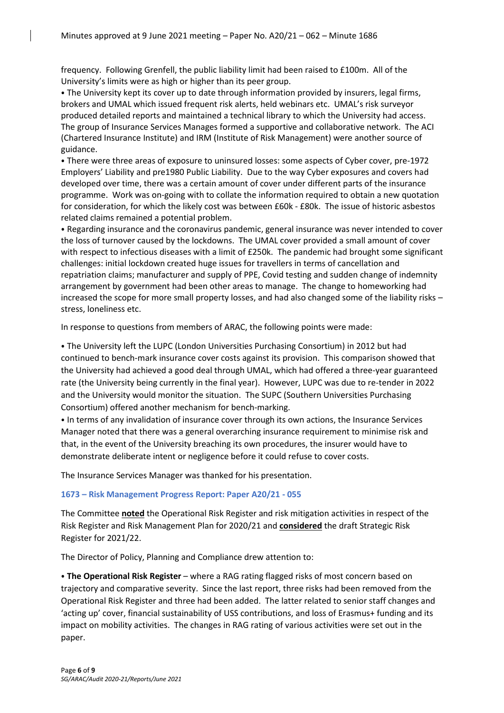frequency. Following Grenfell, the public liability limit had been raised to £100m. All of the University's limits were as high or higher than its peer group.

⦁ The University kept its cover up to date through information provided by insurers, legal firms, brokers and UMAL which issued frequent risk alerts, held webinars etc. UMAL's risk surveyor produced detailed reports and maintained a technical library to which the University had access. The group of Insurance Services Manages formed a supportive and collaborative network. The ACI (Chartered Insurance Institute) and IRM (Institute of Risk Management) were another source of guidance.

⦁ There were three areas of exposure to uninsured losses: some aspects of Cyber cover, pre-1972 Employers' Liability and pre1980 Public Liability. Due to the way Cyber exposures and covers had developed over time, there was a certain amount of cover under different parts of the insurance programme. Work was on-going with to collate the information required to obtain a new quotation for consideration, for which the likely cost was between £60k - £80k. The issue of historic asbestos related claims remained a potential problem.

⦁ Regarding insurance and the coronavirus pandemic, general insurance was never intended to cover the loss of turnover caused by the lockdowns. The UMAL cover provided a small amount of cover with respect to infectious diseases with a limit of £250k. The pandemic had brought some significant challenges: initial lockdown created huge issues for travellers in terms of cancellation and repatriation claims; manufacturer and supply of PPE, Covid testing and sudden change of indemnity arrangement by government had been other areas to manage. The change to homeworking had increased the scope for more small property losses, and had also changed some of the liability risks – stress, loneliness etc.

In response to questions from members of ARAC, the following points were made:

⦁ The University left the LUPC (London Universities Purchasing Consortium) in 2012 but had continued to bench-mark insurance cover costs against its provision. This comparison showed that the University had achieved a good deal through UMAL, which had offered a three-year guaranteed rate (the University being currently in the final year). However, LUPC was due to re-tender in 2022 and the University would monitor the situation. The SUPC (Southern Universities Purchasing Consortium) offered another mechanism for bench-marking.

⦁ In terms of any invalidation of insurance cover through its own actions, the Insurance Services Manager noted that there was a general overarching insurance requirement to minimise risk and that, in the event of the University breaching its own procedures, the insurer would have to demonstrate deliberate intent or negligence before it could refuse to cover costs.

The Insurance Services Manager was thanked for his presentation.

# **1673 – Risk Management Progress Report: Paper A20/21 - 055**

The Committee **noted** the Operational Risk Register and risk mitigation activities in respect of the Risk Register and Risk Management Plan for 2020/21 and **considered** the draft Strategic Risk Register for 2021/22.

The Director of Policy, Planning and Compliance drew attention to:

⦁ **The Operational Risk Register** – where a RAG rating flagged risks of most concern based on trajectory and comparative severity. Since the last report, three risks had been removed from the Operational Risk Register and three had been added. The latter related to senior staff changes and 'acting up' cover, financial sustainability of USS contributions, and loss of Erasmus+ funding and its impact on mobility activities. The changes in RAG rating of various activities were set out in the paper.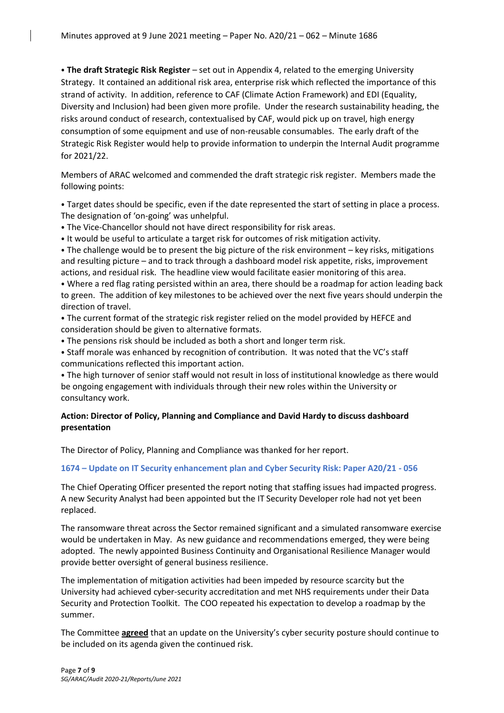⦁ **The draft Strategic Risk Register** – set out in Appendix 4, related to the emerging University Strategy. It contained an additional risk area, enterprise risk which reflected the importance of this strand of activity. In addition, reference to CAF (Climate Action Framework) and EDI (Equality, Diversity and Inclusion) had been given more profile. Under the research sustainability heading, the risks around conduct of research, contextualised by CAF, would pick up on travel, high energy consumption of some equipment and use of non-reusable consumables. The early draft of the Strategic Risk Register would help to provide information to underpin the Internal Audit programme for 2021/22.

Members of ARAC welcomed and commended the draft strategic risk register. Members made the following points:

⦁ Target dates should be specific, even if the date represented the start of setting in place a process. The designation of 'on-going' was unhelpful.

⦁ The Vice-Chancellor should not have direct responsibility for risk areas.

⦁ It would be useful to articulate a target risk for outcomes of risk mitigation activity.

⦁ The challenge would be to present the big picture of the risk environment – key risks, mitigations and resulting picture – and to track through a dashboard model risk appetite, risks, improvement actions, and residual risk. The headline view would facilitate easier monitoring of this area.

⦁ Where a red flag rating persisted within an area, there should be a roadmap for action leading back to green. The addition of key milestones to be achieved over the next five years should underpin the direction of travel.

⦁ The current format of the strategic risk register relied on the model provided by HEFCE and consideration should be given to alternative formats.

⦁ The pensions risk should be included as both a short and longer term risk.

⦁ Staff morale was enhanced by recognition of contribution. It was noted that the VC's staff communications reflected this important action.

⦁ The high turnover of senior staff would not result in loss of institutional knowledge as there would be ongoing engagement with individuals through their new roles within the University or consultancy work.

# **Action: Director of Policy, Planning and Compliance and David Hardy to discuss dashboard presentation**

The Director of Policy, Planning and Compliance was thanked for her report.

# **1674 – Update on IT Security enhancement plan and Cyber Security Risk: Paper A20/21 - 056**

The Chief Operating Officer presented the report noting that staffing issues had impacted progress. A new Security Analyst had been appointed but the IT Security Developer role had not yet been replaced.

The ransomware threat across the Sector remained significant and a simulated ransomware exercise would be undertaken in May. As new guidance and recommendations emerged, they were being adopted. The newly appointed Business Continuity and Organisational Resilience Manager would provide better oversight of general business resilience.

The implementation of mitigation activities had been impeded by resource scarcity but the University had achieved cyber-security accreditation and met NHS requirements under their Data Security and Protection Toolkit. The COO repeated his expectation to develop a roadmap by the summer.

The Committee **agreed** that an update on the University's cyber security posture should continue to be included on its agenda given the continued risk.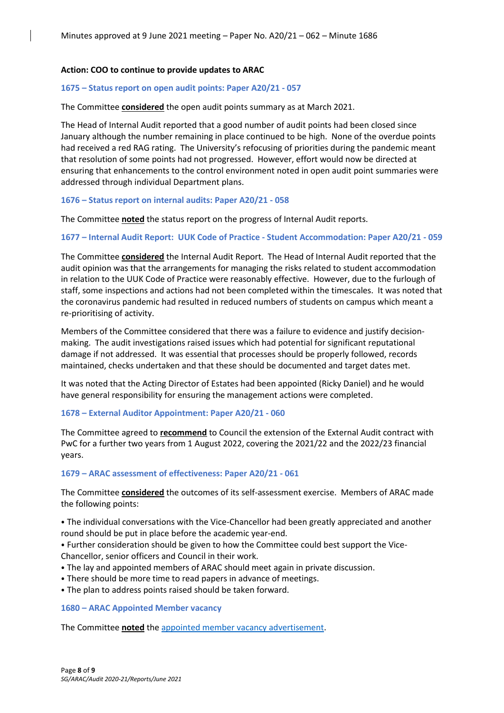#### **Action: COO to continue to provide updates to ARAC**

#### **1675 – Status report on open audit points: Paper A20/21 - 057**

The Committee **considered** the open audit points summary as at March 2021.

The Head of Internal Audit reported that a good number of audit points had been closed since January although the number remaining in place continued to be high. None of the overdue points had received a red RAG rating. The University's refocusing of priorities during the pandemic meant that resolution of some points had not progressed. However, effort would now be directed at ensuring that enhancements to the control environment noted in open audit point summaries were addressed through individual Department plans.

#### **1676 – Status report on internal audits: Paper A20/21 - 058**

The Committee **noted** the status report on the progress of Internal Audit reports.

#### **1677 – Internal Audit Report: UUK Code of Practice - Student Accommodation: Paper A20/21 - 059**

The Committee **considered** the Internal Audit Report. The Head of Internal Audit reported that the audit opinion was that the arrangements for managing the risks related to student accommodation in relation to the UUK Code of Practice were reasonably effective. However, due to the furlough of staff, some inspections and actions had not been completed within the timescales. It was noted that the coronavirus pandemic had resulted in reduced numbers of students on campus which meant a re-prioritising of activity.

Members of the Committee considered that there was a failure to evidence and justify decisionmaking. The audit investigations raised issues which had potential for significant reputational damage if not addressed. It was essential that processes should be properly followed, records maintained, checks undertaken and that these should be documented and target dates met.

It was noted that the Acting Director of Estates had been appointed (Ricky Daniel) and he would have general responsibility for ensuring the management actions were completed.

#### **1678 – External Auditor Appointment: Paper A20/21 - 060**

The Committee agreed to **recommend** to Council the extension of the External Audit contract with PwC for a further two years from 1 August 2022, covering the 2021/22 and the 2022/23 financial years.

#### **1679 – ARAC assessment of effectiveness: Paper A20/21 - 061**

The Committee **considered** the outcomes of its self-assessment exercise. Members of ARAC made the following points:

⦁ The individual conversations with the Vice-Chancellor had been greatly appreciated and another round should be put in place before the academic year-end.

⦁ Further consideration should be given to how the Committee could best support the Vice-Chancellor, senior officers and Council in their work.

- ⦁ The lay and appointed members of ARAC should meet again in private discussion.
- ⦁ There should be more time to read papers in advance of meetings.
- ⦁ The plan to address points raised should be taken forward.

#### **1680 – ARAC Appointed Member vacancy**

The Committee **noted** th[e appointed member vacancy advertisement.](https://www.bath.ac.uk/publications/vacancy-for-external-member-on-audit-and-risk-assurance-committee/)